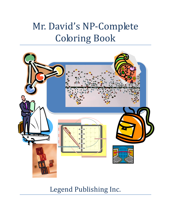## Mr. David's NP-Complete Coloring Book



Legend Publishing Inc.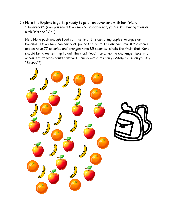1.) Nora the Explora is getting ready to go on an adventure with her friend "Haversack". (Can you say "Haversack"? Probably not, you're still having trouble with "r"s and "v"s.)

Help Nora pack enough food for the trip. She can bring apples, oranges or bananas. Haversack can carry 20 pounds of fruit. If Bananas have 105 calories, apples have 77 calories and oranges have 85 calories, circle the fruit that Nora should bring on her trip to get the most food. For an extra challenge, take into account that Nora could contract Scurvy without enough Vitamin C. (Can you say "Scurvy"?)

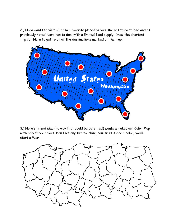2.) Nora wants to visit all of her favorite places before she has to go to bed and as previously noted Nora has to deal with a limited food supply. Draw the shortest trip for Nora to get to all of the destinations marked on the map.



3.) Nora's friend Map (no way that could be patented) wants a makeover. Color Map with only three colors. Don't let any two touching countries share a color; you'll start a War!

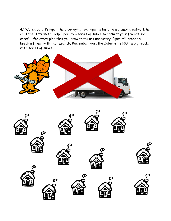4.) Watch out, it's Piper the pipe-laying fox! Piper is building a plumbing network he calls the "Internet". Help Piper lay a series of tubes to connect your friends. Be careful, for every pipe that you draw that's not necessary, Piper will probably break a finger with that wrench. Remember kids, the Internet is NOT a big truck; it's a series of tubes.